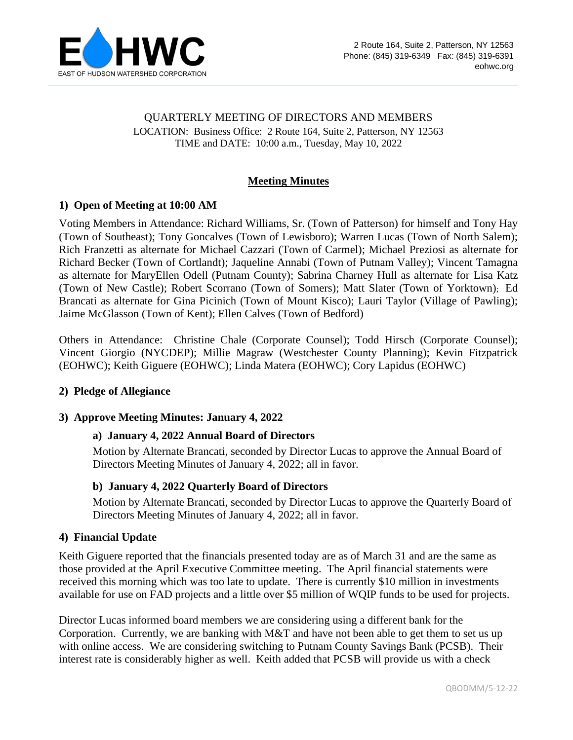

# QUARTERLY MEETING OF DIRECTORS AND MEMBERS LOCATION: Business Office: 2 Route 164, Suite 2, Patterson, NY 12563 TIME and DATE: 10:00 a.m., Tuesday, May 10, 2022

## **Meeting Minutes**

## **1) Open of Meeting at 10:00 AM**

Voting Members in Attendance: Richard Williams, Sr. (Town of Patterson) for himself and Tony Hay (Town of Southeast); Tony Goncalves (Town of Lewisboro); Warren Lucas (Town of North Salem); Rich Franzetti as alternate for Michael Cazzari (Town of Carmel); Michael Preziosi as alternate for Richard Becker (Town of Cortlandt); Jaqueline Annabi (Town of Putnam Valley); Vincent Tamagna as alternate for MaryEllen Odell (Putnam County); Sabrina Charney Hull as alternate for Lisa Katz (Town of New Castle); Robert Scorrano (Town of Somers); Matt Slater (Town of Yorktown); Ed Brancati as alternate for Gina Picinich (Town of Mount Kisco); Lauri Taylor (Village of Pawling); Jaime McGlasson (Town of Kent); Ellen Calves (Town of Bedford)

Others in Attendance: Christine Chale (Corporate Counsel); Todd Hirsch (Corporate Counsel); Vincent Giorgio (NYCDEP); Millie Magraw (Westchester County Planning); Kevin Fitzpatrick (EOHWC); Keith Giguere (EOHWC); Linda Matera (EOHWC); Cory Lapidus (EOHWC)

### **2) Pledge of Allegiance**

### **3) Approve Meeting Minutes: January 4, 2022**

### **a) January 4, 2022 Annual Board of Directors**

Motion by Alternate Brancati, seconded by Director Lucas to approve the Annual Board of Directors Meeting Minutes of January 4, 2022; all in favor.

### **b) January 4, 2022 Quarterly Board of Directors**

Motion by Alternate Brancati, seconded by Director Lucas to approve the Quarterly Board of Directors Meeting Minutes of January 4, 2022; all in favor.

### **4) Financial Update**

Keith Giguere reported that the financials presented today are as of March 31 and are the same as those provided at the April Executive Committee meeting. The April financial statements were received this morning which was too late to update. There is currently \$10 million in investments available for use on FAD projects and a little over \$5 million of WQIP funds to be used for projects.

Director Lucas informed board members we are considering using a different bank for the Corporation. Currently, we are banking with M&T and have not been able to get them to set us up with online access. We are considering switching to Putnam County Savings Bank (PCSB). Their interest rate is considerably higher as well. Keith added that PCSB will provide us with a check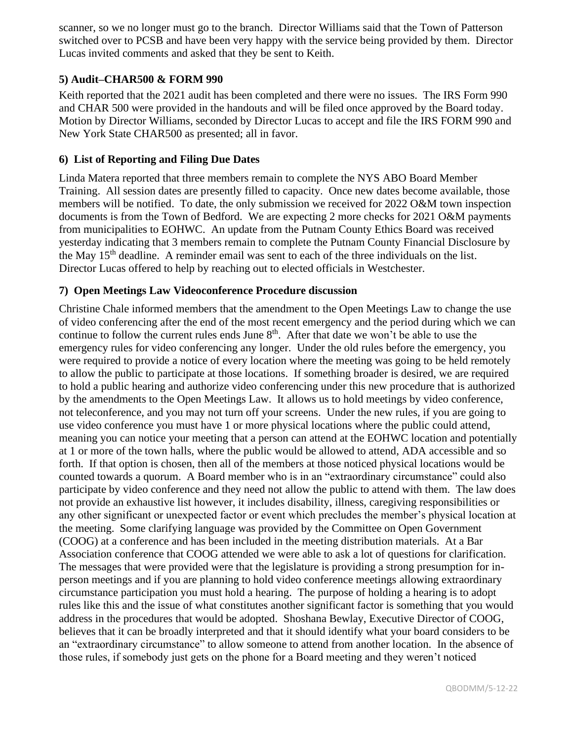scanner, so we no longer must go to the branch. Director Williams said that the Town of Patterson switched over to PCSB and have been very happy with the service being provided by them. Director Lucas invited comments and asked that they be sent to Keith.

## **5) Audit–CHAR500 & FORM 990**

Keith reported that the 2021 audit has been completed and there were no issues. The IRS Form 990 and CHAR 500 were provided in the handouts and will be filed once approved by the Board today. Motion by Director Williams, seconded by Director Lucas to accept and file the IRS FORM 990 and New York State CHAR500 as presented; all in favor.

### **6) List of Reporting and Filing Due Dates**

Linda Matera reported that three members remain to complete the NYS ABO Board Member Training. All session dates are presently filled to capacity. Once new dates become available, those members will be notified. To date, the only submission we received for 2022 O&M town inspection documents is from the Town of Bedford. We are expecting 2 more checks for 2021 O&M payments from municipalities to EOHWC. An update from the Putnam County Ethics Board was received yesterday indicating that 3 members remain to complete the Putnam County Financial Disclosure by the May  $15<sup>th</sup>$  deadline. A reminder email was sent to each of the three individuals on the list. Director Lucas offered to help by reaching out to elected officials in Westchester.

#### **7) Open Meetings Law Videoconference Procedure discussion**

Christine Chale informed members that the amendment to the Open Meetings Law to change the use of video conferencing after the end of the most recent emergency and the period during which we can continue to follow the current rules ends June  $8<sup>th</sup>$ . After that date we won't be able to use the emergency rules for video conferencing any longer. Under the old rules before the emergency, you were required to provide a notice of every location where the meeting was going to be held remotely to allow the public to participate at those locations. If something broader is desired, we are required to hold a public hearing and authorize video conferencing under this new procedure that is authorized by the amendments to the Open Meetings Law. It allows us to hold meetings by video conference, not teleconference, and you may not turn off your screens. Under the new rules, if you are going to use video conference you must have 1 or more physical locations where the public could attend, meaning you can notice your meeting that a person can attend at the EOHWC location and potentially at 1 or more of the town halls, where the public would be allowed to attend, ADA accessible and so forth. If that option is chosen, then all of the members at those noticed physical locations would be counted towards a quorum. A Board member who is in an "extraordinary circumstance" could also participate by video conference and they need not allow the public to attend with them. The law does not provide an exhaustive list however, it includes disability, illness, caregiving responsibilities or any other significant or unexpected factor or event which precludes the member's physical location at the meeting. Some clarifying language was provided by the Committee on Open Government (COOG) at a conference and has been included in the meeting distribution materials. At a Bar Association conference that COOG attended we were able to ask a lot of questions for clarification. The messages that were provided were that the legislature is providing a strong presumption for inperson meetings and if you are planning to hold video conference meetings allowing extraordinary circumstance participation you must hold a hearing. The purpose of holding a hearing is to adopt rules like this and the issue of what constitutes another significant factor is something that you would address in the procedures that would be adopted. Shoshana Bewlay, Executive Director of COOG, believes that it can be broadly interpreted and that it should identify what your board considers to be an "extraordinary circumstance" to allow someone to attend from another location. In the absence of those rules, if somebody just gets on the phone for a Board meeting and they weren't noticed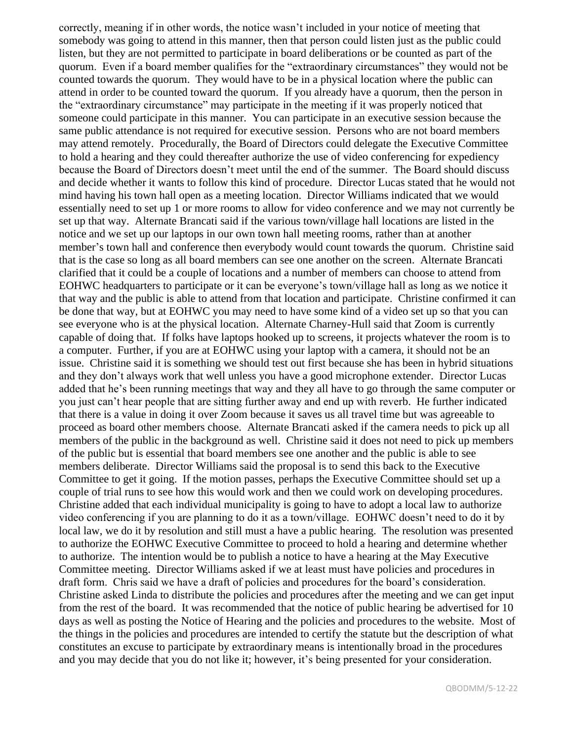correctly, meaning if in other words, the notice wasn't included in your notice of meeting that somebody was going to attend in this manner, then that person could listen just as the public could listen, but they are not permitted to participate in board deliberations or be counted as part of the quorum. Even if a board member qualifies for the "extraordinary circumstances" they would not be counted towards the quorum. They would have to be in a physical location where the public can attend in order to be counted toward the quorum. If you already have a quorum, then the person in the "extraordinary circumstance" may participate in the meeting if it was properly noticed that someone could participate in this manner. You can participate in an executive session because the same public attendance is not required for executive session. Persons who are not board members may attend remotely. Procedurally, the Board of Directors could delegate the Executive Committee to hold a hearing and they could thereafter authorize the use of video conferencing for expediency because the Board of Directors doesn't meet until the end of the summer. The Board should discuss and decide whether it wants to follow this kind of procedure. Director Lucas stated that he would not mind having his town hall open as a meeting location. Director Williams indicated that we would essentially need to set up 1 or more rooms to allow for video conference and we may not currently be set up that way. Alternate Brancati said if the various town/village hall locations are listed in the notice and we set up our laptops in our own town hall meeting rooms, rather than at another member's town hall and conference then everybody would count towards the quorum. Christine said that is the case so long as all board members can see one another on the screen. Alternate Brancati clarified that it could be a couple of locations and a number of members can choose to attend from EOHWC headquarters to participate or it can be everyone's town/village hall as long as we notice it that way and the public is able to attend from that location and participate. Christine confirmed it can be done that way, but at EOHWC you may need to have some kind of a video set up so that you can see everyone who is at the physical location. Alternate Charney-Hull said that Zoom is currently capable of doing that. If folks have laptops hooked up to screens, it projects whatever the room is to a computer. Further, if you are at EOHWC using your laptop with a camera, it should not be an issue. Christine said it is something we should test out first because she has been in hybrid situations and they don't always work that well unless you have a good microphone extender. Director Lucas added that he's been running meetings that way and they all have to go through the same computer or you just can't hear people that are sitting further away and end up with reverb. He further indicated that there is a value in doing it over Zoom because it saves us all travel time but was agreeable to proceed as board other members choose. Alternate Brancati asked if the camera needs to pick up all members of the public in the background as well. Christine said it does not need to pick up members of the public but is essential that board members see one another and the public is able to see members deliberate. Director Williams said the proposal is to send this back to the Executive Committee to get it going. If the motion passes, perhaps the Executive Committee should set up a couple of trial runs to see how this would work and then we could work on developing procedures. Christine added that each individual municipality is going to have to adopt a local law to authorize video conferencing if you are planning to do it as a town/village. EOHWC doesn't need to do it by local law, we do it by resolution and still must a have a public hearing. The resolution was presented to authorize the EOHWC Executive Committee to proceed to hold a hearing and determine whether to authorize. The intention would be to publish a notice to have a hearing at the May Executive Committee meeting. Director Williams asked if we at least must have policies and procedures in draft form. Chris said we have a draft of policies and procedures for the board's consideration. Christine asked Linda to distribute the policies and procedures after the meeting and we can get input from the rest of the board. It was recommended that the notice of public hearing be advertised for 10 days as well as posting the Notice of Hearing and the policies and procedures to the website. Most of the things in the policies and procedures are intended to certify the statute but the description of what constitutes an excuse to participate by extraordinary means is intentionally broad in the procedures and you may decide that you do not like it; however, it's being presented for your consideration.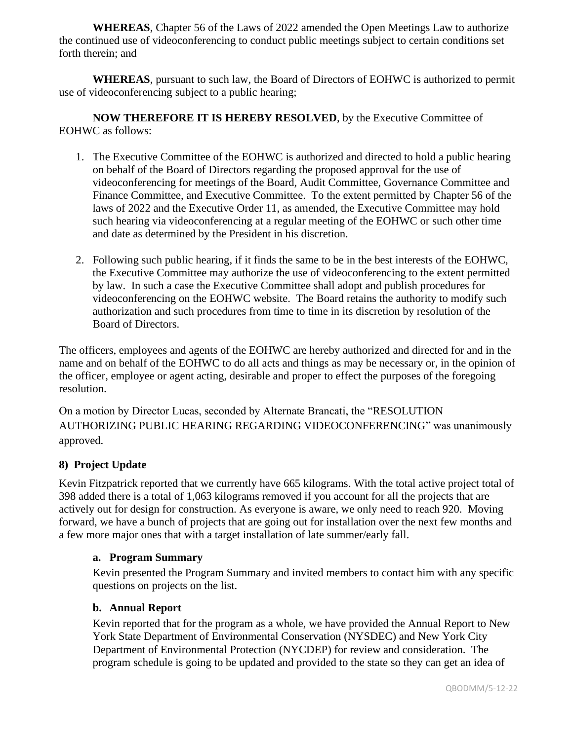**WHEREAS**, Chapter 56 of the Laws of 2022 amended the Open Meetings Law to authorize the continued use of videoconferencing to conduct public meetings subject to certain conditions set forth therein; and

 **WHEREAS**, pursuant to such law, the Board of Directors of EOHWC is authorized to permit use of videoconferencing subject to a public hearing;

**NOW THEREFORE IT IS HEREBY RESOLVED**, by the Executive Committee of EOHWC as follows:

- 1. The Executive Committee of the EOHWC is authorized and directed to hold a public hearing on behalf of the Board of Directors regarding the proposed approval for the use of videoconferencing for meetings of the Board, Audit Committee, Governance Committee and Finance Committee, and Executive Committee. To the extent permitted by Chapter 56 of the laws of 2022 and the Executive Order 11, as amended, the Executive Committee may hold such hearing via videoconferencing at a regular meeting of the EOHWC or such other time and date as determined by the President in his discretion.
- 2. Following such public hearing, if it finds the same to be in the best interests of the EOHWC, the Executive Committee may authorize the use of videoconferencing to the extent permitted by law. In such a case the Executive Committee shall adopt and publish procedures for videoconferencing on the EOHWC website. The Board retains the authority to modify such authorization and such procedures from time to time in its discretion by resolution of the Board of Directors.

The officers, employees and agents of the EOHWC are hereby authorized and directed for and in the name and on behalf of the EOHWC to do all acts and things as may be necessary or, in the opinion of the officer, employee or agent acting, desirable and proper to effect the purposes of the foregoing resolution.

On a motion by Director Lucas, seconded by Alternate Brancati, the "RESOLUTION AUTHORIZING PUBLIC HEARING REGARDING VIDEOCONFERENCING" was unanimously approved.

## **8) Project Update**

Kevin Fitzpatrick reported that we currently have 665 kilograms. With the total active project total of 398 added there is a total of 1,063 kilograms removed if you account for all the projects that are actively out for design for construction. As everyone is aware, we only need to reach 920. Moving forward, we have a bunch of projects that are going out for installation over the next few months and a few more major ones that with a target installation of late summer/early fall.

## **a. Program Summary**

Kevin presented the Program Summary and invited members to contact him with any specific questions on projects on the list.

### **b. Annual Report**

Kevin reported that for the program as a whole, we have provided the Annual Report to New York State Department of Environmental Conservation (NYSDEC) and New York City Department of Environmental Protection (NYCDEP) for review and consideration. The program schedule is going to be updated and provided to the state so they can get an idea of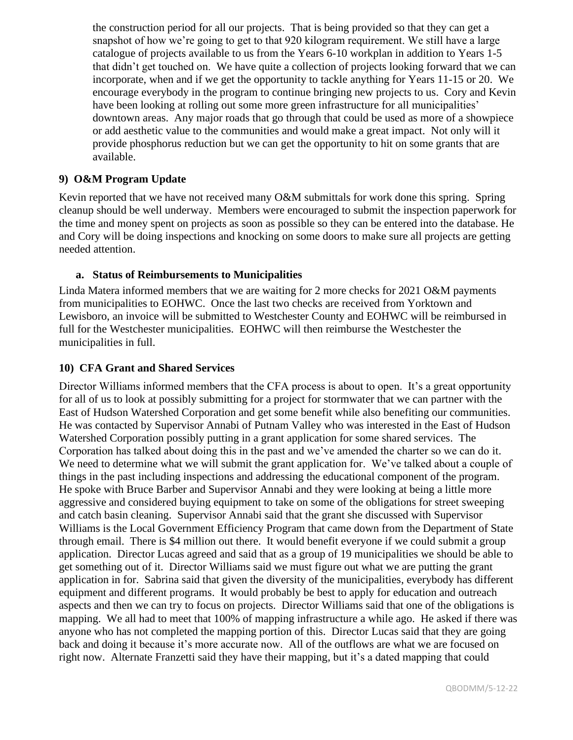the construction period for all our projects. That is being provided so that they can get a snapshot of how we're going to get to that 920 kilogram requirement. We still have a large catalogue of projects available to us from the Years 6-10 workplan in addition to Years 1-5 that didn't get touched on. We have quite a collection of projects looking forward that we can incorporate, when and if we get the opportunity to tackle anything for Years 11-15 or 20. We encourage everybody in the program to continue bringing new projects to us. Cory and Kevin have been looking at rolling out some more green infrastructure for all municipalities' downtown areas. Any major roads that go through that could be used as more of a showpiece or add aesthetic value to the communities and would make a great impact. Not only will it provide phosphorus reduction but we can get the opportunity to hit on some grants that are available.

## **9) O&M Program Update**

Kevin reported that we have not received many O&M submittals for work done this spring. Spring cleanup should be well underway. Members were encouraged to submit the inspection paperwork for the time and money spent on projects as soon as possible so they can be entered into the database. He and Cory will be doing inspections and knocking on some doors to make sure all projects are getting needed attention.

## **a. Status of Reimbursements to Municipalities**

Linda Matera informed members that we are waiting for 2 more checks for 2021 O&M payments from municipalities to EOHWC. Once the last two checks are received from Yorktown and Lewisboro, an invoice will be submitted to Westchester County and EOHWC will be reimbursed in full for the Westchester municipalities. EOHWC will then reimburse the Westchester the municipalities in full.

### **10) CFA Grant and Shared Services**

Director Williams informed members that the CFA process is about to open. It's a great opportunity for all of us to look at possibly submitting for a project for stormwater that we can partner with the East of Hudson Watershed Corporation and get some benefit while also benefiting our communities. He was contacted by Supervisor Annabi of Putnam Valley who was interested in the East of Hudson Watershed Corporation possibly putting in a grant application for some shared services. The Corporation has talked about doing this in the past and we've amended the charter so we can do it. We need to determine what we will submit the grant application for. We've talked about a couple of things in the past including inspections and addressing the educational component of the program. He spoke with Bruce Barber and Supervisor Annabi and they were looking at being a little more aggressive and considered buying equipment to take on some of the obligations for street sweeping and catch basin cleaning. Supervisor Annabi said that the grant she discussed with Supervisor Williams is the Local Government Efficiency Program that came down from the Department of State through email. There is \$4 million out there. It would benefit everyone if we could submit a group application. Director Lucas agreed and said that as a group of 19 municipalities we should be able to get something out of it. Director Williams said we must figure out what we are putting the grant application in for. Sabrina said that given the diversity of the municipalities, everybody has different equipment and different programs. It would probably be best to apply for education and outreach aspects and then we can try to focus on projects. Director Williams said that one of the obligations is mapping. We all had to meet that 100% of mapping infrastructure a while ago. He asked if there was anyone who has not completed the mapping portion of this. Director Lucas said that they are going back and doing it because it's more accurate now. All of the outflows are what we are focused on right now. Alternate Franzetti said they have their mapping, but it's a dated mapping that could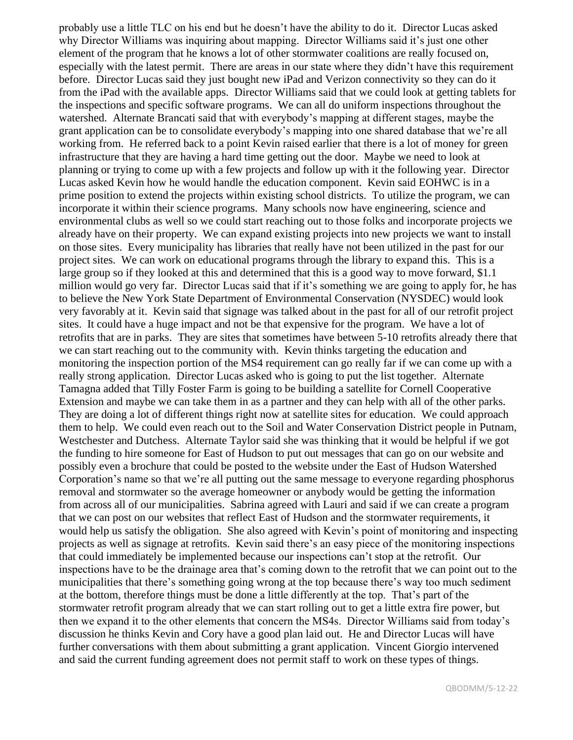probably use a little TLC on his end but he doesn't have the ability to do it. Director Lucas asked why Director Williams was inquiring about mapping. Director Williams said it's just one other element of the program that he knows a lot of other stormwater coalitions are really focused on, especially with the latest permit. There are areas in our state where they didn't have this requirement before. Director Lucas said they just bought new iPad and Verizon connectivity so they can do it from the iPad with the available apps. Director Williams said that we could look at getting tablets for the inspections and specific software programs. We can all do uniform inspections throughout the watershed. Alternate Brancati said that with everybody's mapping at different stages, maybe the grant application can be to consolidate everybody's mapping into one shared database that we're all working from. He referred back to a point Kevin raised earlier that there is a lot of money for green infrastructure that they are having a hard time getting out the door. Maybe we need to look at planning or trying to come up with a few projects and follow up with it the following year. Director Lucas asked Kevin how he would handle the education component. Kevin said EOHWC is in a prime position to extend the projects within existing school districts. To utilize the program, we can incorporate it within their science programs. Many schools now have engineering, science and environmental clubs as well so we could start reaching out to those folks and incorporate projects we already have on their property. We can expand existing projects into new projects we want to install on those sites. Every municipality has libraries that really have not been utilized in the past for our project sites. We can work on educational programs through the library to expand this. This is a large group so if they looked at this and determined that this is a good way to move forward, \$1.1 million would go very far. Director Lucas said that if it's something we are going to apply for, he has to believe the New York State Department of Environmental Conservation (NYSDEC) would look very favorably at it. Kevin said that signage was talked about in the past for all of our retrofit project sites. It could have a huge impact and not be that expensive for the program. We have a lot of retrofits that are in parks. They are sites that sometimes have between 5-10 retrofits already there that we can start reaching out to the community with. Kevin thinks targeting the education and monitoring the inspection portion of the MS4 requirement can go really far if we can come up with a really strong application. Director Lucas asked who is going to put the list together. Alternate Tamagna added that Tilly Foster Farm is going to be building a satellite for Cornell Cooperative Extension and maybe we can take them in as a partner and they can help with all of the other parks. They are doing a lot of different things right now at satellite sites for education. We could approach them to help. We could even reach out to the Soil and Water Conservation District people in Putnam, Westchester and Dutchess. Alternate Taylor said she was thinking that it would be helpful if we got the funding to hire someone for East of Hudson to put out messages that can go on our website and possibly even a brochure that could be posted to the website under the East of Hudson Watershed Corporation's name so that we're all putting out the same message to everyone regarding phosphorus removal and stormwater so the average homeowner or anybody would be getting the information from across all of our municipalities. Sabrina agreed with Lauri and said if we can create a program that we can post on our websites that reflect East of Hudson and the stormwater requirements, it would help us satisfy the obligation. She also agreed with Kevin's point of monitoring and inspecting projects as well as signage at retrofits. Kevin said there's an easy piece of the monitoring inspections that could immediately be implemented because our inspections can't stop at the retrofit. Our inspections have to be the drainage area that's coming down to the retrofit that we can point out to the municipalities that there's something going wrong at the top because there's way too much sediment at the bottom, therefore things must be done a little differently at the top. That's part of the stormwater retrofit program already that we can start rolling out to get a little extra fire power, but then we expand it to the other elements that concern the MS4s. Director Williams said from today's discussion he thinks Kevin and Cory have a good plan laid out. He and Director Lucas will have further conversations with them about submitting a grant application. Vincent Giorgio intervened and said the current funding agreement does not permit staff to work on these types of things.